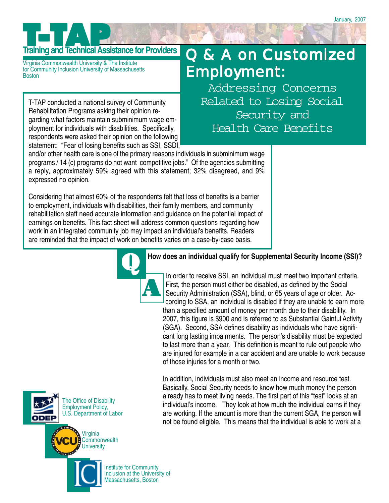# **Training and Technical Assistance for Providers**

Virginia Commonwealth University & The Institute for Community Inclusion University of Massachusetts **Boston** 

T-TAP conducted a national survey of Community Rehabilitation Programs asking their opinion regarding what factors maintain subminimum wage employment for individuals with disabilities. Specifically, respondents were asked their opinion on the following statement: "Fear of losing benefits such as SSI, SSDI,

## Q & A on Customized Employment:

Addressing Concerns Related to Losing Social Security and Health Care Benefits

and/or other health care is one of the primary reasons individuals in subminimum wage programs / 14 (c) programs do not want competitive jobs." Of the agencies submitting a reply, approximately 59% agreed with this statement; 32% disagreed, and 9% expressed no opinion.

Considering that almost 60% of the respondents felt that loss of benefits is a barrier to employment, individuals with disabilities, their family members, and community rehabilitation staff need accurate information and guidance on the potential impact of earnings on benefits. This fact sheet will address common questions regarding how work in an integrated community job may impact an individual's benefits. Readers are reminded that the impact of work on benefits varies on a case-by-case basis.



#### Q **How does an individual qualify for Supplemental Security Income (SSI)?**

. First, the person must either be disabled, as defined by the Social In order to receive SSI, an individual must meet two important criteria. Security Administration (SSA), blind, or 65 years of age or older. According to SSA, an individual is disabled if they are unable to earn more than a specified amount of money per month due to their disability. In 2007, this figure is \$900 and is referred to as Substantial Gainful Activity (SGA). Second, SSA defines disability as individuals who have significant long lasting impairments. The person's disability must be expected to last more than a year. This definition is meant to rule out people who are injured for example in a car accident and are unable to work because of those injuries for a month or two.

In addition, individuals must also meet an income and resource test. Basically, Social Security needs to know how much money the person already has to meet living needs. The first part of this "test" looks at an individual's income. They look at how much the individual earns if they are working. If the amount is more than the current SGA, the person will not be found eligible. This means that the individual is able to work at a



The Office of Disability Employment Policy, U.S. Department of Labor



Institute for Community Inclusion at the University of Massachusetts, Boston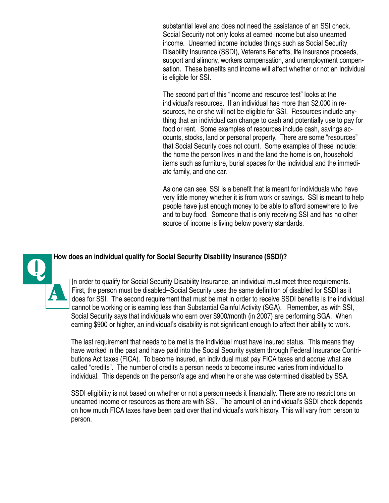substantial level and does not need the assistance of an SSI check. Social Security not only looks at earned income but also unearned income. Unearned income includes things such as Social Security Disability Insurance (SSDI), Veterans Benefits, life insurance proceeds, support and alimony, workers compensation, and unemployment compensation. These benefits and income will affect whether or not an individual is eligible for SSI.

The second part of this "income and resource test" looks at the individual's resources. If an individual has more than \$2,000 in resources, he or she will not be eligible for SSI. Resources include anything that an individual can change to cash and potentially use to pay for food or rent. Some examples of resources include cash, savings accounts, stocks, land or personal property. There are some "resources" that Social Security does not count. Some examples of these include: the home the person lives in and the land the home is on, household items such as furniture, burial spaces for the individual and the immediate family, and one car.

As one can see, SSI is a benefit that is meant for individuals who have very little money whether it is from work or savings. SSI is meant to help people have just enough money to be able to afford somewhere to live and to buy food. Someone that is only receiving SSI and has no other source of income is living below poverty standards.

A

How does an individual qualify for Social Security Disability Insurance (SSDI)?<br>In order to qualify for Social Security Disability Insurance an individual .In order to qualify for Social Security Disability Insurance, an individual must meet three requirements. First, the person must be disabled--Social Security uses the same definition of disabled for SSDI as it does for SSI. The second requirement that must be met in order to receive SSDI benefits is the individual cannot be working or is earning less than Substantial Gainful Activity (SGA). Remember, as with SSI, Social Security says that individuals who earn over \$900/month (in 2007) are performing SGA. When earning \$900 or higher, an individual's disability is not significant enough to affect their ability to work.

> The last requirement that needs to be met is the individual must have insured status. This means they have worked in the past and have paid into the Social Security system through Federal Insurance Contributions Act taxes (FICA). To become insured, an individual must pay FICA taxes and accrue what are called "credits". The number of credits a person needs to become insured varies from individual to individual. This depends on the person's age and when he or she was determined disabled by SSA.

> SSDI eligibility is not based on whether or not a person needs it financially. There are no restrictions on unearned income or resources as there are with SSI. The amount of an individual's SSDI check depends on how much FICA taxes have been paid over that individual's work history. This will vary from person to person.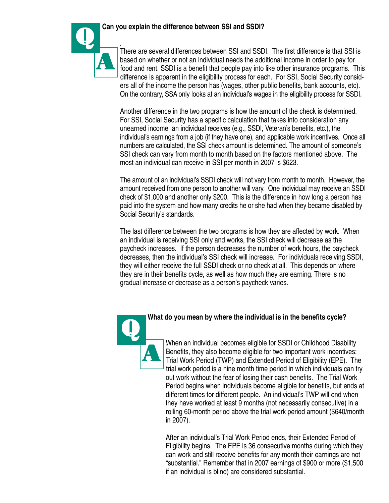#### Q **Can you explain the difference between SSI and SSDI?**



.

There are several differences between SSI and SSDI. The first difference is that SSI is based on whether or not an individual needs the additional income in order to pay for food and rent. SSDI is a benefit that people pay into like other insurance programs. This difference is apparent in the eligibility process for each. For SSI, Social Security considers all of the income the person has (wages, other public benefits, bank accounts, etc). On the contrary, SSA only looks at an individual's wages in the eligibility process for SSDI.

Another difference in the two programs is how the amount of the check is determined. For SSI, Social Security has a specific calculation that takes into consideration any unearned income an individual receives (e.g., SSDI, Veteran's benefits, etc.), the individual's earnings from a job (if they have one), and applicable work incentives. Once all numbers are calculated, the SSI check amount is determined. The amount of someone's SSI check can vary from month to month based on the factors mentioned above. The most an individual can receive in SSI per month in 2007 is \$623.

The amount of an individual's SSDI check will not vary from month to month. However, the amount received from one person to another will vary. One individual may receive an SSDI check of \$1,000 and another only \$200. This is the difference in how long a person has paid into the system and how many credits he or she had when they became disabled by Social Security's standards.

The last difference between the two programs is how they are affected by work. When an individual is receiving SSI only and works, the SSI check will decrease as the paycheck increases. If the person decreases the number of work hours, the paycheck decreases, then the individual's SSI check will increase. For individuals receiving SSDI, they will either receive the full SSDI check or no check at all. This depends on where they are in their benefits cycle, as well as how much they are earning. There is no gradual increase or decrease as a person's paycheck varies.



#### Q **What do you mean by where the individual is in the benefits cycle?**

When an individual becomes eligible for SSDI or Childhood Disability Benefits, they also become eligible for two important work incentives: Trial Work Period (TWP) and Extended Period of Eligibility (EPE). The trial work period is a nine month time period in which individuals can try out work without the fear of losing their cash benefits. The Trial Work Period begins when individuals become eligible for benefits, but ends at different times for different people. An individual's TWP will end when they have worked at least 9 months (not necessarily consecutive) in a rolling 60-month period above the trial work period amount (\$640/month in 2007).

After an individual's Trial Work Period ends, their Extended Period of Eligibility begins. The EPE is 36 consecutive months during which they can work and still receive benefits for any month their earnings are not "substantial." Remember that in 2007 earnings of \$900 or more (\$1,500 if an individual is blind) are considered substantial.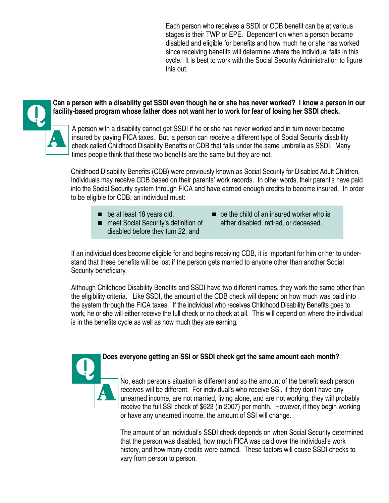Each person who receives a SSDI or CDB benefit can be at various stages is their TWP or EPE. Dependent on when a person became disabled and eligible for benefits and how much he or she has worked since receiving benefits will determine where the individual falls in this cycle. It is best to work with the Social Security Administration to figure this out.





. insured by paying FICA taxes. But, a person can receive a different type of Social Security disability A person with a disability cannot get SSDI if he or she has never worked and in turn never became check called Childhood Disability Benefits or CDB that falls under the same umbrella as SSDI. Many times people think that these two benefits are the same but they are not.

Childhood Disability Benefits (CDB) were previously known as Social Security for Disabled Adult Children. Individuals may receive CDB based on their parents' work records. In other words, their parent's have paid into the Social Security system through FICA and have earned enough credits to become insured. In order to be eligible for CDB, an individual must:

A

- disabled before they turn 22, and
- $\blacksquare$  be at least 18 years old,  $\blacksquare$  be the child of an insured worker who is ■ meet Social Security's definition of either disabled, retired, or deceased.

If an individual does become eligible for and begins receiving CDB, it is important for him or her to understand that these benefits will be lost if the person gets married to anyone other than another Social Security beneficiary.

Although Childhood Disability Benefits and SSDI have two different names, they work the same other than the eligibility criteria. Like SSDI, the amount of the CDB check will depend on how much was paid into the system through the FICA taxes. If the individual who receives Childhood Disability Benefits goes to work, he or she will either receive the full check or no check at all. This will depend on where the individual is in the benefits cycle as well as how much they are earning.



. No, each person's situation is different and so the amount of the benefit each person receives will be different. For individual's who receive SSI, if they don't have any unearned income, are not married, living alone, and are not working, they will probably receive the full SSI check of \$623 (in 2007) per month. However, if they begin working or have any unearned income, the amount of SSI will change.

The amount of an individual's SSDI check depends on when Social Security determined that the person was disabled, how much FICA was paid over the individual's work history, and how many credits were earned. These factors will cause SSDI checks to vary from person to person.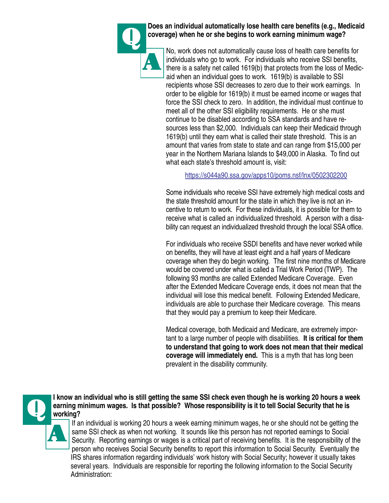

Q **Does an individual automatically lose health care benefits (e.g., Medicaid coverage) when he or she begins to work earning minimum wage?**

. individuals who go to work. For individuals who receive SSI benefits, No, work does not automatically cause loss of health care benefits for there is a safety net called 1619(b) that protects from the loss of Medicaid when an individual goes to work. 1619(b) is available to SSI recipients whose SSI decreases to zero due to their work earnings. In order to be eligible for 1619(b) it must be earned income or wages that force the SSI check to zero. In addition, the individual must continue to meet all of the other SSI eligibility requirements. He or she must continue to be disabled according to SSA standards and have resources less than \$2,000. Individuals can keep their Medicaid through 1619(b) until they earn what is called their state threshold. This is an amount that varies from state to state and can range from \$15,000 per year in the Northern Mariana Islands to \$49,000 in Alaska. To find out what each state's threshold amount is, visit:

#### https://s044a90.ssa.gov/apps10/poms.nsf/lnx/0502302200

Some individuals who receive SSI have extremely high medical costs and the state threshold amount for the state in which they live is not an incentive to return to work. For these individuals, it is possible for them to receive what is called an individualized threshold. A person with a disability can request an individualized threshold through the local SSA office.

For individuals who receive SSDI benefits and have never worked while on benefits, they will have at least eight and a half years of Medicare coverage when they do begin working. The first nine months of Medicare would be covered under what is called a Trial Work Period (TWP). The following 93 months are called Extended Medicare Coverage. Even after the Extended Medicare Coverage ends, it does not mean that the individual will lose this medical benefit. Following Extended Medicare, individuals are able to purchase their Medicare coverage. This means that they would pay a premium to keep their Medicare.

Medical coverage, both Medicaid and Medicare, are extremely important to a large number of people with disabilities. **It is critical for them to understand that going to work does not mean that their medical coverage will immediately end.** This is a myth that has long been prevalent in the disability community.



I know an individual who is still getting the same SSI check even though he is working 20 hours a week<br>earning minimum wages. Is that possible? Whose responsibility is it to tell Social Security that he is<br>working? **earning minimum wages. Is that possible? Whose responsibility is it to tell Social Security that he is working?**

Security. Reporting earnings or wages is a critical part of receiving benefits. It is the responsibility of the If an individual is working 20 hours a week earning minimum wages, he or she should not be getting the same SSI check as when not working. It sounds like this person has not reported earnings to Social person who receives Social Security benefits to report this information to Social Security. Eventually the IRS shares information regarding individuals' work history with Social Security; however it usually takes several years. Individuals are responsible for reporting the following information to the Social Security Administration: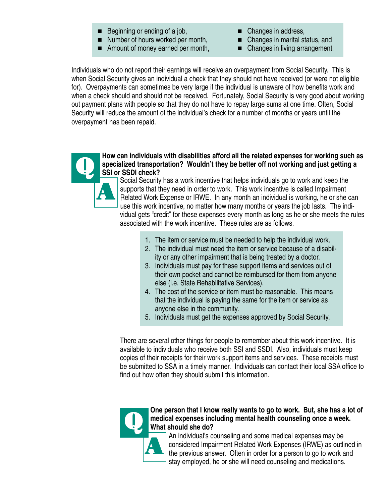- Beginning or ending of a job, Changes in address,
- Number of hours worked per month, Changes in marital status, and
- Amount of money earned per month, Changes in living arrangement.
- 
- -

Individuals who do not report their earnings will receive an overpayment from Social Security. This is when Social Security gives an individual a check that they should not have received (or were not eligible for). Overpayments can sometimes be very large if the individual is unaware of how benefits work and when a check should and should not be received. Fortunately, Social Security is very good about working out payment plans with people so that they do not have to repay large sums at one time. Often, Social Security will reduce the amount of the individual's check for a number of months or years until the overpayment has been repaid.



#### How can individuals with disabilities afford all the related expenses for working such as<br>SSI or SSDI check?<br>SSI or SSDI check? **specialized transportation? Wouldn't they be better off not working and just getting a SSI or SSDI check?**

. Related Work Expense or IRWE. In any month an individual is working, he or she can Social Security has a work incentive that helps individuals go to work and keep the supports that they need in order to work. This work incentive is called Impairment use this work incentive, no matter how many months or years the job lasts. The individual gets "credit" for these expenses every month as long as he or she meets the rules associated with the work incentive. These rules are as follows.

- 1. The item or service must be needed to help the individual work.
- 2. The individual must need the item or service because of a disability or any other impairment that is being treated by a doctor.
- 3. Individuals must pay for these support items and services out of their own pocket and cannot be reimbursed for them from anyone else (i.e. State Rehabilitative Services).
- 4. The cost of the service or item must be reasonable. This means that the individual is paying the same for the item or service as anyone else in the community.
- 5. Individuals must get the expenses approved by Social Security.

There are several other things for people to remember about this work incentive. It is available to individuals who receive both SSI and SSDI. Also, individuals must keep copies of their receipts for their work support items and services. These receipts must be submitted to SSA in a timely manner. Individuals can contact their local SSA office to find out how often they should submit this information.



### One person that I know really wants to go to work. But, she has a lot of medical expenses including mental health counseling once a week.<br>What should she do? **medical expenses including mental health counseling once a week. What should she do?**

. the previous answer. Often in order for a person to go to work and An individual's counseling and some medical expenses may be considered Impairment Related Work Expenses (IRWE) as outlined in stay employed, he or she will need counseling and medications.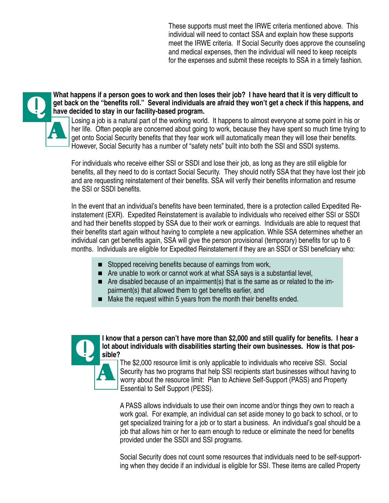These supports must meet the IRWE criteria mentioned above. This individual will need to contact SSA and explain how these supports meet the IRWE criteria. If Social Security does approve the counseling and medical expenses, then the individual will need to keep receipts for the expenses and submit these receipts to SSA in a timely fashion.



What happens if a person goes to work and then loses their job? I have heard that it is very difficult to get back on the "benefits roll." Several individuals are afraid they won't get a check if this happens, are have dec **get back on the "benefits roll." Several individuals are afraid they won't get a check if this happens, and have decided to stay in our facility-based program.**

. However, Social Security has a number of "safety nets" built into both the SSI and SSDI systems. Losing a job is a natural part of the working world. It happens to almost everyone at some point in his or her life. Often people are concerned about going to work, because they have spent so much time trying to get onto Social Security benefits that they fear work will automatically mean they will lose their benefits.

For individuals who receive either SSI or SSDI and lose their job, as long as they are still eligible for benefits, all they need to do is contact Social Security. They should notify SSA that they have lost their job and are requesting reinstatement of their benefits. SSA will verify their benefits information and resume the SSI or SSDI benefits.

In the event that an individual's benefits have been terminated, there is a protection called Expedited Reinstatement (EXR). Expedited Reinstatement is available to individuals who received either SSI or SSDI and had their benefits stopped by SSA due to their work or earnings. Individuals are able to request that their benefits start again without having to complete a new application. While SSA determines whether an individual can get benefits again, SSA will give the person provisional (temporary) benefits for up to 6 months. Individuals are eligible for Expedited Reinstatement if they are an SSDI or SSI beneficiary who:

- Stopped receiving benefits because of earnings from work,
- Are unable to work or cannot work at what SSA says is a substantial level,
- Are disabled because of an impairment(s) that is the same as or related to the impairment(s) that allowed them to get benefits earlier, and
- $\blacksquare$  Make the request within 5 years from the month their benefits ended.



I know that a person can't have more than \$2,000 and still qualify for benefits. I hear a **lot about individuals with disabilities starting their own businesses. How is that possible?**

The \$2,000 resource limit is only applicable to individuals who receive SSI. Social Security has two programs that help SSI recipients start businesses without having to worry about the resource limit: Plan to Achieve Self-Support (PASS) and Property Essential to Self Support (PESS).

A PASS allows individuals to use their own income and/or things they own to reach a work goal. For example, an individual can set aside money to go back to school, or to get specialized training for a job or to start a business. An individual's goal should be a job that allows him or her to earn enough to reduce or eliminate the need for benefits provided under the SSDI and SSI programs.

Social Security does not count some resources that individuals need to be self-supporting when they decide if an individual is eligible for SSI. These items are called Property